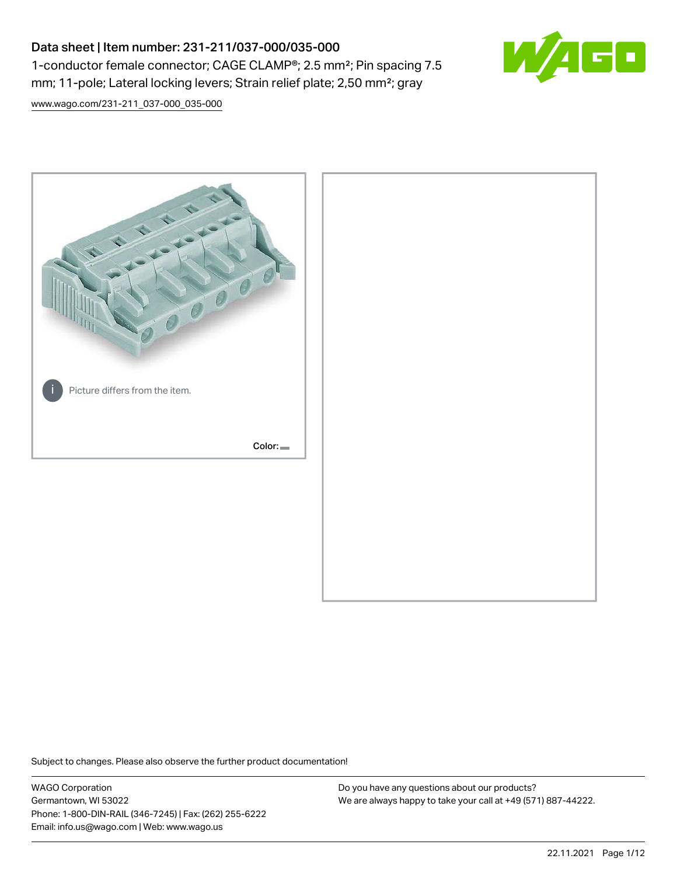# Data sheet | Item number: 231-211/037-000/035-000 1-conductor female connector; CAGE CLAMP®; 2.5 mm²; Pin spacing 7.5 mm; 11-pole; Lateral locking levers; Strain relief plate; 2,50 mm²; gray



[www.wago.com/231-211\\_037-000\\_035-000](http://www.wago.com/231-211_037-000_035-000)



Subject to changes. Please also observe the further product documentation!

WAGO Corporation Germantown, WI 53022 Phone: 1-800-DIN-RAIL (346-7245) | Fax: (262) 255-6222 Email: info.us@wago.com | Web: www.wago.us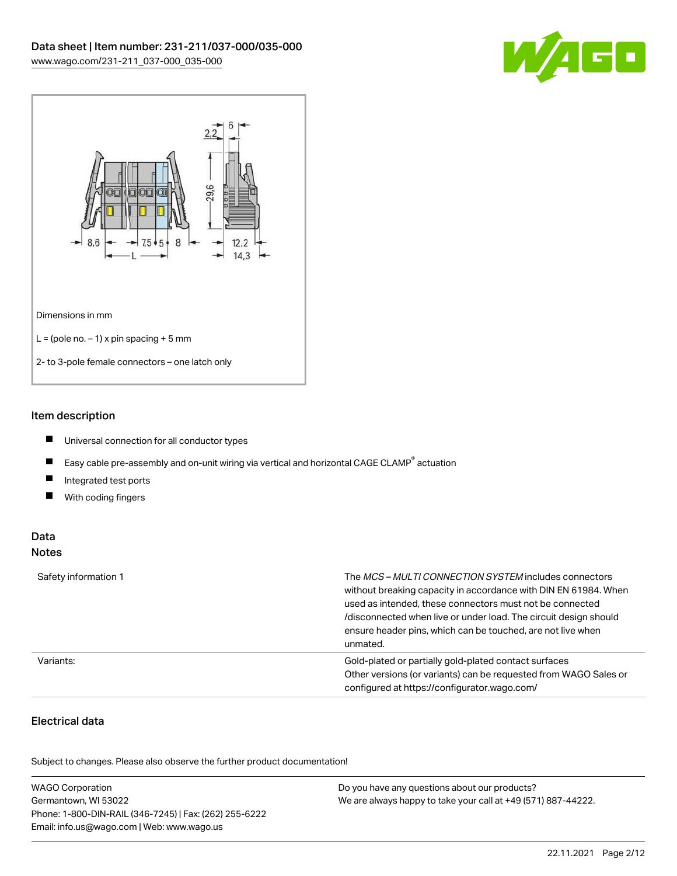



### Item description

- $\blacksquare$ Universal connection for all conductor types
- $\blacksquare$ Easy cable pre-assembly and on-unit wiring via vertical and horizontal CAGE CLAMP<sup>®</sup> actuation
- $\blacksquare$ Integrated test ports
- $\blacksquare$ With coding fingers

#### Data Notes

| Safety information 1 | The <i>MCS – MULTI CONNECTION SYSTEM</i> includes connectors<br>without breaking capacity in accordance with DIN EN 61984. When<br>used as intended, these connectors must not be connected<br>/disconnected when live or under load. The circuit design should<br>ensure header pins, which can be touched, are not live when<br>unmated. |
|----------------------|--------------------------------------------------------------------------------------------------------------------------------------------------------------------------------------------------------------------------------------------------------------------------------------------------------------------------------------------|
| Variants:            | Gold-plated or partially gold-plated contact surfaces<br>Other versions (or variants) can be requested from WAGO Sales or<br>configured at https://configurator.wago.com/                                                                                                                                                                  |

## Electrical data

.<br>Subject to changes. Please also observe the further product documentation!

| <b>WAGO Corporation</b>                                | Do you have any questions about our products?                 |
|--------------------------------------------------------|---------------------------------------------------------------|
| Germantown, WI 53022                                   | We are always happy to take your call at +49 (571) 887-44222. |
| Phone: 1-800-DIN-RAIL (346-7245)   Fax: (262) 255-6222 |                                                               |
| Email: info.us@wago.com   Web: www.wago.us             |                                                               |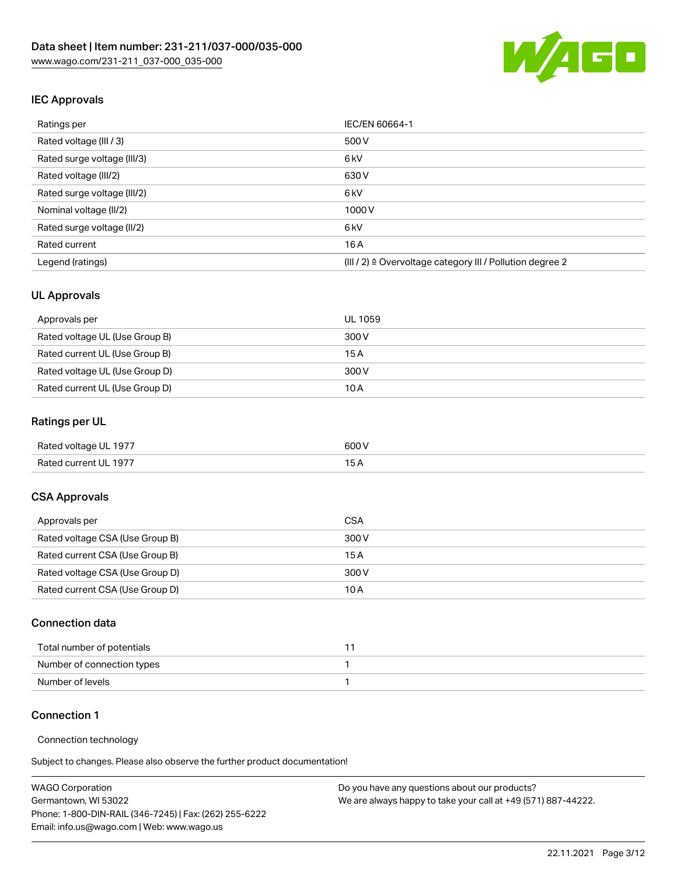

## IEC Approvals

| Ratings per                 | IEC/EN 60664-1                                            |
|-----------------------------|-----------------------------------------------------------|
| Rated voltage (III / 3)     | 500 V                                                     |
| Rated surge voltage (III/3) | 6 <sub>kV</sub>                                           |
| Rated voltage (III/2)       | 630 V                                                     |
| Rated surge voltage (III/2) | 6 <sub>kV</sub>                                           |
| Nominal voltage (II/2)      | 1000 V                                                    |
| Rated surge voltage (II/2)  | 6 <sub>kV</sub>                                           |
| Rated current               | 16A                                                       |
| Legend (ratings)            | (III / 2) ≙ Overvoltage category III / Pollution degree 2 |

#### UL Approvals

| Approvals per                  | UL 1059 |
|--------------------------------|---------|
| Rated voltage UL (Use Group B) | 300 V   |
| Rated current UL (Use Group B) | 15 A    |
| Rated voltage UL (Use Group D) | 300 V   |
| Rated current UL (Use Group D) | 10 A    |

# Ratings per UL

| Rated voltage UL 1977 | 600 V |
|-----------------------|-------|
| Rated current UL 1977 |       |

#### CSA Approvals

| Approvals per                   | CSA   |
|---------------------------------|-------|
| Rated voltage CSA (Use Group B) | 300 V |
| Rated current CSA (Use Group B) | 15 A  |
| Rated voltage CSA (Use Group D) | 300 V |
| Rated current CSA (Use Group D) | 10 A  |

#### Connection data

| Total number of potentials |  |
|----------------------------|--|
| Number of connection types |  |
| Number of levels           |  |

#### Connection 1

#### Connection technology

Subject to changes. Please also observe the further product documentation!

| <b>WAGO Corporation</b>                                | Do you have any questions about our products?                 |
|--------------------------------------------------------|---------------------------------------------------------------|
| Germantown, WI 53022                                   | We are always happy to take your call at +49 (571) 887-44222. |
| Phone: 1-800-DIN-RAIL (346-7245)   Fax: (262) 255-6222 |                                                               |
| Email: info.us@wago.com   Web: www.wago.us             |                                                               |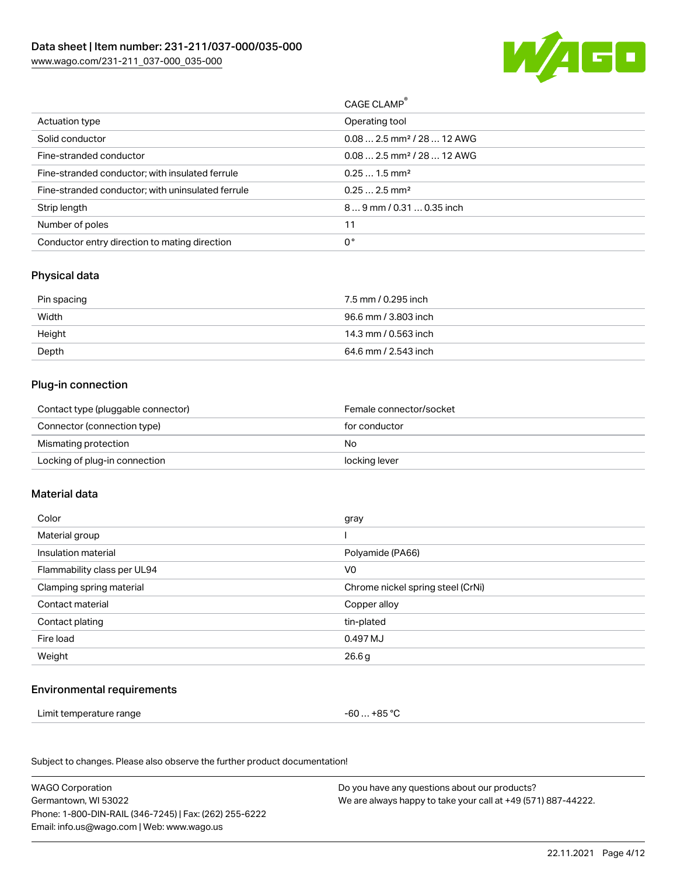

| CAGE CLAMP <sup>®</sup>                |
|----------------------------------------|
| Operating tool                         |
| $0.082.5$ mm <sup>2</sup> / 28  12 AWG |
| $0.082.5$ mm <sup>2</sup> / 28  12 AWG |
| $0.251.5$ mm <sup>2</sup>              |
| $0.252.5$ mm <sup>2</sup>              |
| $89$ mm / 0.31  0.35 inch              |
| 11                                     |
| 0°                                     |
|                                        |

### Physical data

| Pin spacing | 7.5 mm / 0.295 inch  |
|-------------|----------------------|
| Width       | 96.6 mm / 3.803 inch |
| Height      | 14.3 mm / 0.563 inch |
| Depth       | 64.6 mm / 2.543 inch |

#### Plug-in connection

| Contact type (pluggable connector) | Female connector/socket |
|------------------------------------|-------------------------|
| Connector (connection type)        | for conductor           |
| Mismating protection               | No                      |
| Locking of plug-in connection      | locking lever           |

#### Material data

| Color                       | gray                              |
|-----------------------------|-----------------------------------|
| Material group              |                                   |
| Insulation material         | Polyamide (PA66)                  |
| Flammability class per UL94 | V0                                |
| Clamping spring material    | Chrome nickel spring steel (CrNi) |
| Contact material            | Copper alloy                      |
| Contact plating             | tin-plated                        |
| Fire load                   | 0.497 MJ                          |
| Weight                      | 26.6g                             |
|                             |                                   |

#### Environmental requirements

Limit temperature range  $-60...+85$  °C

Subject to changes. Please also observe the further product documentation!

| <b>WAGO Corporation</b>                                | Do you have any questions about our products?                 |
|--------------------------------------------------------|---------------------------------------------------------------|
| Germantown, WI 53022                                   | We are always happy to take your call at +49 (571) 887-44222. |
| Phone: 1-800-DIN-RAIL (346-7245)   Fax: (262) 255-6222 |                                                               |
| Email: info.us@wago.com   Web: www.wago.us             |                                                               |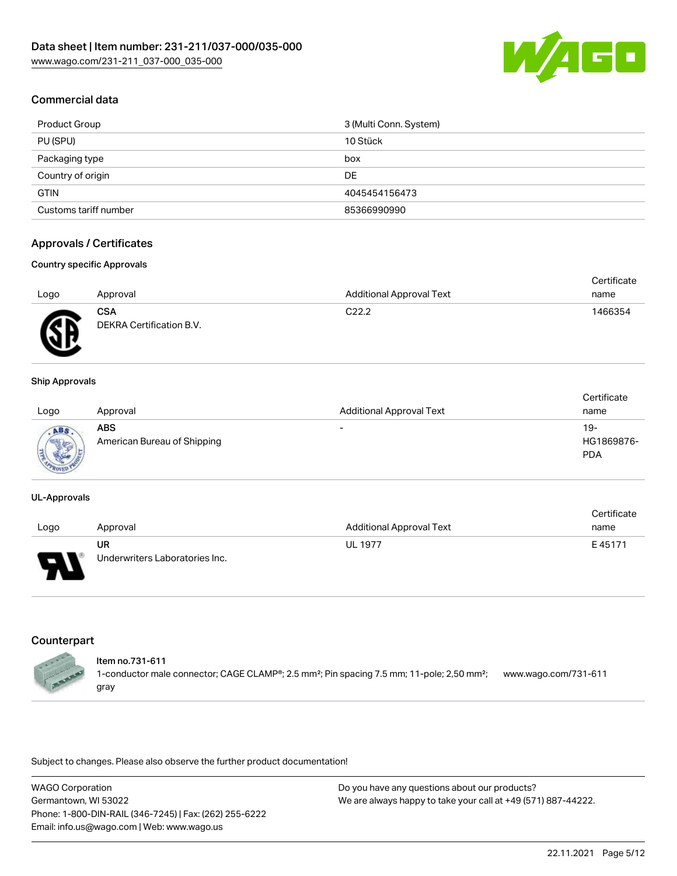

## Commercial data

| Product Group         | 3 (Multi Conn. System) |
|-----------------------|------------------------|
| PU (SPU)              | 10 Stück               |
| Packaging type        | box                    |
| Country of origin     | DE                     |
| <b>GTIN</b>           | 4045454156473          |
| Customs tariff number | 85366990990            |

### Approvals / Certificates

#### Country specific Approvals

|      |                                        |                                 | Certificate |
|------|----------------------------------------|---------------------------------|-------------|
| Logo | Approval                               | <b>Additional Approval Text</b> | name        |
| Æ    | <b>CSA</b><br>DEKRA Certification B.V. | C <sub>22.2</sub>               | 1466354     |

#### Ship Approvals

| Logo                   | Approval                           | <b>Additional Approval Text</b> | Certificate<br>name                |
|------------------------|------------------------------------|---------------------------------|------------------------------------|
| <b>Marrie</b><br>$-70$ | ABS<br>American Bureau of Shipping | $\overline{\phantom{a}}$        | $19 -$<br>HG1869876-<br><b>PDA</b> |

#### UL-Approvals

|      |                                |                                 | Certificate |
|------|--------------------------------|---------------------------------|-------------|
| Logo | Approval                       | <b>Additional Approval Text</b> | name        |
|      | UR                             | <b>UL 1977</b>                  | E45171      |
| Б    | Underwriters Laboratories Inc. |                                 |             |

## **Counterpart**



#### Item no.731-611

1-conductor male connector; CAGE CLAMP®; 2.5 mm²; Pin spacing 7.5 mm; 11-pole; 2,50 mm²; gray [www.wago.com/731-611](https://www.wago.com/731-611)

Subject to changes. Please also observe the further product documentation!

WAGO Corporation Germantown, WI 53022 Phone: 1-800-DIN-RAIL (346-7245) | Fax: (262) 255-6222 Email: info.us@wago.com | Web: www.wago.us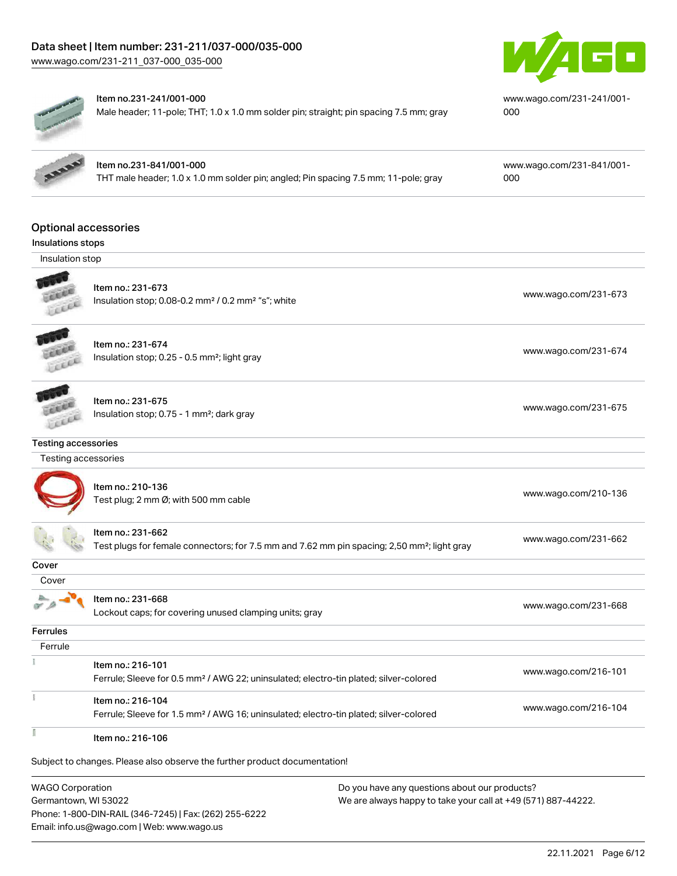# Data sheet | Item number: 231-211/037-000/035-000

[www.wago.com/231-211\\_037-000\\_035-000](http://www.wago.com/231-211_037-000_035-000)





#### Item no.231-241/001-000

Male header; 11-pole; THT; 1.0 x 1.0 mm solder pin; straight; pin spacing 7.5 mm; gray

[www.wago.com/231-241/001-](https://www.wago.com/231-241/001-000) [000](https://www.wago.com/231-241/001-000)

Insulations stops Insulation stop

Optional accessories

Item no.231-841/001-000 THT male header; 1.0 x 1.0 mm solder pin; angled; Pin spacing 7.5 mm; 11-pole; gray [www.wago.com/231-841/001-](https://www.wago.com/231-841/001-000) [000](https://www.wago.com/231-841/001-000)

Item no.: 231-673 Insulation stop; 0.08-0.2 mm<sup>2</sup> / 0.2 mm<sup>2</sup> "s"; white [www.wago.com/231-673](http://www.wago.com/231-673) www.wago.com/231-673



Item no.: 231-674 Insulation stop; 0.25 - 0.5 mm²; light gray [www.wago.com/231-674](http://www.wago.com/231-674) www.wago.com/231-674

**COLLER** FEREE

 $\tilde{\chi}$ 

# Item no.: 231-675

Insulation stop; 0.75 - 1 mm²; dark gray [www.wago.com/231-675](http://www.wago.com/231-675)<br>Insulation stop; 0.75 - 1 mm²; dark gray

Testing accessories

 Testing accessories Item no.: 210-136 nomme...<br>Test plug; 2 mm Ø; with 500 mm cable [www.wago.com/210-136](http://www.wago.com/210-136) Item no.: 231-662 Test plugs for female connectors; for 7.5 mm and 7.62 mm pin spacing; 2,50 mm²; light gray [www.wago.com/231-662](http://www.wago.com/231-662) **Cover**  Cover à Item no.: 231-668  $\sqrt{2}$ Lockout caps; for covering unused clamping units; gray [www.wago.com/231-668](http://www.wago.com/231-668) **Ferrules**  Ferrule I.

Ferrule; Sleeve for 0.5 mm² / AWG 22; uninsulated; electro-tin plated; silver-colored [www.wago.com/216-101](http://www.wago.com/216-101) Item no.: 216-104

Ferrule; Sleeve for 1.5 mm² / AWG 16; uninsulated; electro-tin plated; silver-colored [www.wago.com/216-104](http://www.wago.com/216-104)

Item no.: 216-106

Item no.: 216-101

Subject to changes. Please also observe the further product documentation!

WAGO Corporation Germantown, WI 53022 Phone: 1-800-DIN-RAIL (346-7245) | Fax: (262) 255-6222 Email: info.us@wago.com | Web: www.wago.us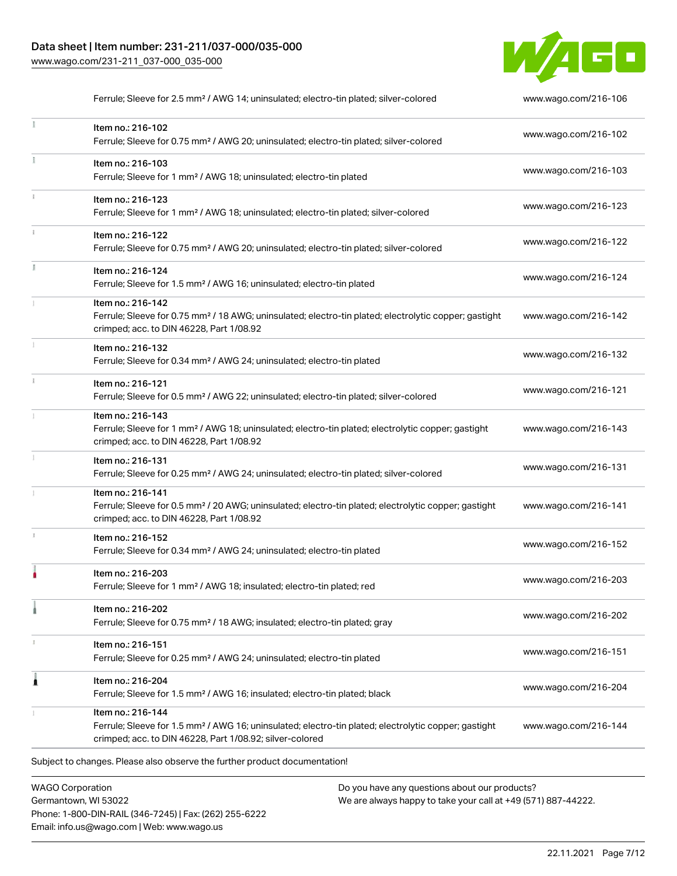### Data sheet | Item number: 231-211/037-000/035-000 [www.wago.com/231-211\\_037-000\\_035-000](http://www.wago.com/231-211_037-000_035-000)



Ferrule; Sleeve for 2.5 mm<sup>2</sup> / AWG 14; uninsulated; electro-tin plated; silver-colored [www.wago.com/216-106](http://www.wago.com/216-106)

| Item no.: 216-102<br>Ferrule; Sleeve for 0.75 mm <sup>2</sup> / AWG 20; uninsulated; electro-tin plated; silver-colored                                                                           | www.wago.com/216-102 |
|---------------------------------------------------------------------------------------------------------------------------------------------------------------------------------------------------|----------------------|
| Item no.: 216-103<br>Ferrule; Sleeve for 1 mm <sup>2</sup> / AWG 18; uninsulated; electro-tin plated                                                                                              | www.wago.com/216-103 |
| Item no.: 216-123<br>Ferrule; Sleeve for 1 mm <sup>2</sup> / AWG 18; uninsulated; electro-tin plated; silver-colored                                                                              | www.wago.com/216-123 |
| Item no.: 216-122<br>Ferrule; Sleeve for 0.75 mm <sup>2</sup> / AWG 20; uninsulated; electro-tin plated; silver-colored                                                                           | www.wago.com/216-122 |
| Item no.: 216-124<br>Ferrule; Sleeve for 1.5 mm <sup>2</sup> / AWG 16; uninsulated; electro-tin plated                                                                                            | www.wago.com/216-124 |
| Item no.: 216-142<br>Ferrule; Sleeve for 0.75 mm <sup>2</sup> / 18 AWG; uninsulated; electro-tin plated; electrolytic copper; gastight<br>crimped; acc. to DIN 46228, Part 1/08.92                | www.wago.com/216-142 |
| Item no.: 216-132<br>Ferrule; Sleeve for 0.34 mm <sup>2</sup> / AWG 24; uninsulated; electro-tin plated                                                                                           | www.wago.com/216-132 |
| Item no.: 216-121<br>Ferrule; Sleeve for 0.5 mm <sup>2</sup> / AWG 22; uninsulated; electro-tin plated; silver-colored                                                                            | www.wago.com/216-121 |
| Item no.: 216-143<br>Ferrule; Sleeve for 1 mm <sup>2</sup> / AWG 18; uninsulated; electro-tin plated; electrolytic copper; gastight<br>crimped; acc. to DIN 46228, Part 1/08.92                   | www.wago.com/216-143 |
| Item no.: 216-131<br>Ferrule; Sleeve for 0.25 mm <sup>2</sup> / AWG 24; uninsulated; electro-tin plated; silver-colored                                                                           | www.wago.com/216-131 |
| Item no.: 216-141<br>Ferrule; Sleeve for 0.5 mm <sup>2</sup> / 20 AWG; uninsulated; electro-tin plated; electrolytic copper; gastight<br>crimped; acc. to DIN 46228, Part 1/08.92                 | www.wago.com/216-141 |
| Item no.: 216-152<br>Ferrule; Sleeve for 0.34 mm <sup>2</sup> / AWG 24; uninsulated; electro-tin plated                                                                                           | www.wago.com/216-152 |
| Item no.: 216-203<br>Ferrule; Sleeve for 1 mm <sup>2</sup> / AWG 18; insulated; electro-tin plated; red                                                                                           | www.wago.com/216-203 |
| Item no.: 216-202<br>Ferrule; Sleeve for 0.75 mm <sup>2</sup> / 18 AWG; insulated; electro-tin plated; gray                                                                                       | www.wago.com/216-202 |
| Item no.: 216-151<br>Ferrule; Sleeve for 0.25 mm <sup>2</sup> / AWG 24; uninsulated; electro-tin plated                                                                                           | www.wago.com/216-151 |
| Item no.: 216-204<br>Ferrule; Sleeve for 1.5 mm <sup>2</sup> / AWG 16; insulated; electro-tin plated; black                                                                                       | www.wago.com/216-204 |
| Item no.: 216-144<br>Ferrule; Sleeve for 1.5 mm <sup>2</sup> / AWG 16; uninsulated; electro-tin plated; electrolytic copper; gastight<br>crimped; acc. to DIN 46228, Part 1/08.92; silver-colored | www.wago.com/216-144 |

WAGO Corporation Germantown, WI 53022 Phone: 1-800-DIN-RAIL (346-7245) | Fax: (262) 255-6222 Email: info.us@wago.com | Web: www.wago.us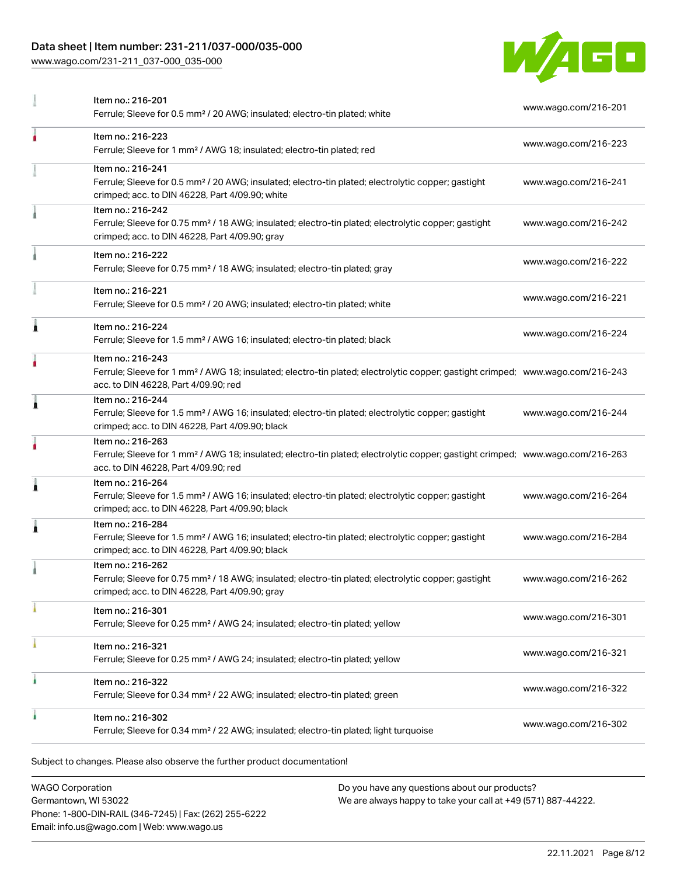### Data sheet | Item number: 231-211/037-000/035-000

[www.wago.com/231-211\\_037-000\\_035-000](http://www.wago.com/231-211_037-000_035-000)



|   | Item no.: 216-201<br>Ferrule; Sleeve for 0.5 mm <sup>2</sup> / 20 AWG; insulated; electro-tin plated; white                                                                                             | www.wago.com/216-201 |
|---|---------------------------------------------------------------------------------------------------------------------------------------------------------------------------------------------------------|----------------------|
| ٠ | Item no.: 216-223<br>Ferrule; Sleeve for 1 mm <sup>2</sup> / AWG 18; insulated; electro-tin plated; red                                                                                                 | www.wago.com/216-223 |
|   | Item no.: 216-241<br>Ferrule; Sleeve for 0.5 mm <sup>2</sup> / 20 AWG; insulated; electro-tin plated; electrolytic copper; gastight<br>crimped; acc. to DIN 46228, Part 4/09.90; white                  | www.wago.com/216-241 |
|   | Item no.: 216-242<br>Ferrule; Sleeve for 0.75 mm <sup>2</sup> / 18 AWG; insulated; electro-tin plated; electrolytic copper; gastight<br>crimped; acc. to DIN 46228, Part 4/09.90; gray                  | www.wago.com/216-242 |
|   | Item no.: 216-222<br>Ferrule; Sleeve for 0.75 mm <sup>2</sup> / 18 AWG; insulated; electro-tin plated; gray                                                                                             | www.wago.com/216-222 |
|   | Item no.: 216-221<br>Ferrule; Sleeve for 0.5 mm <sup>2</sup> / 20 AWG; insulated; electro-tin plated; white                                                                                             | www.wago.com/216-221 |
|   | Item no.: 216-224<br>Ferrule; Sleeve for 1.5 mm <sup>2</sup> / AWG 16; insulated; electro-tin plated; black                                                                                             | www.wago.com/216-224 |
|   | Item no.: 216-243<br>Ferrule; Sleeve for 1 mm <sup>2</sup> / AWG 18; insulated; electro-tin plated; electrolytic copper; gastight crimped; www.wago.com/216-243<br>acc. to DIN 46228, Part 4/09.90; red |                      |
| Â | Item no.: 216-244<br>Ferrule; Sleeve for 1.5 mm <sup>2</sup> / AWG 16; insulated; electro-tin plated; electrolytic copper; gastight<br>crimped; acc. to DIN 46228, Part 4/09.90; black                  | www.wago.com/216-244 |
|   | Item no.: 216-263<br>Ferrule; Sleeve for 1 mm <sup>2</sup> / AWG 18; insulated; electro-tin plated; electrolytic copper; gastight crimped; www.wago.com/216-263<br>acc. to DIN 46228, Part 4/09.90; red |                      |
| 1 | Item no.: 216-264<br>Ferrule; Sleeve for 1.5 mm <sup>2</sup> / AWG 16; insulated; electro-tin plated; electrolytic copper; gastight<br>crimped; acc. to DIN 46228, Part 4/09.90; black                  | www.wago.com/216-264 |
| 1 | Item no.: 216-284<br>Ferrule; Sleeve for 1.5 mm <sup>2</sup> / AWG 16; insulated; electro-tin plated; electrolytic copper; gastight<br>crimped; acc. to DIN 46228, Part 4/09.90; black                  | www.wago.com/216-284 |
|   | Item no.: 216-262<br>Ferrule; Sleeve for 0.75 mm <sup>2</sup> / 18 AWG; insulated; electro-tin plated; electrolytic copper; gastight<br>crimped; acc. to DIN 46228, Part 4/09.90; gray                  | www.wago.com/216-262 |
|   | Item no.: 216-301<br>Ferrule; Sleeve for 0.25 mm <sup>2</sup> / AWG 24; insulated; electro-tin plated; yellow                                                                                           | www.wago.com/216-301 |
|   | Item no.: 216-321<br>Ferrule; Sleeve for 0.25 mm <sup>2</sup> / AWG 24; insulated; electro-tin plated; yellow                                                                                           | www.wago.com/216-321 |
|   | Item no.: 216-322<br>Ferrule; Sleeve for 0.34 mm <sup>2</sup> / 22 AWG; insulated; electro-tin plated; green                                                                                            | www.wago.com/216-322 |
|   | Item no.: 216-302<br>Ferrule; Sleeve for 0.34 mm <sup>2</sup> / 22 AWG; insulated; electro-tin plated; light turquoise                                                                                  | www.wago.com/216-302 |
|   | Dlosse also abossus the further product desumentation                                                                                                                                                   |                      |

Subject to changes. Please also observe the further product documentation! Tools

WAGO Corporation Germantown, WI 53022 Phone: 1-800-DIN-RAIL (346-7245) | Fax: (262) 255-6222 Email: info.us@wago.com | Web: www.wago.us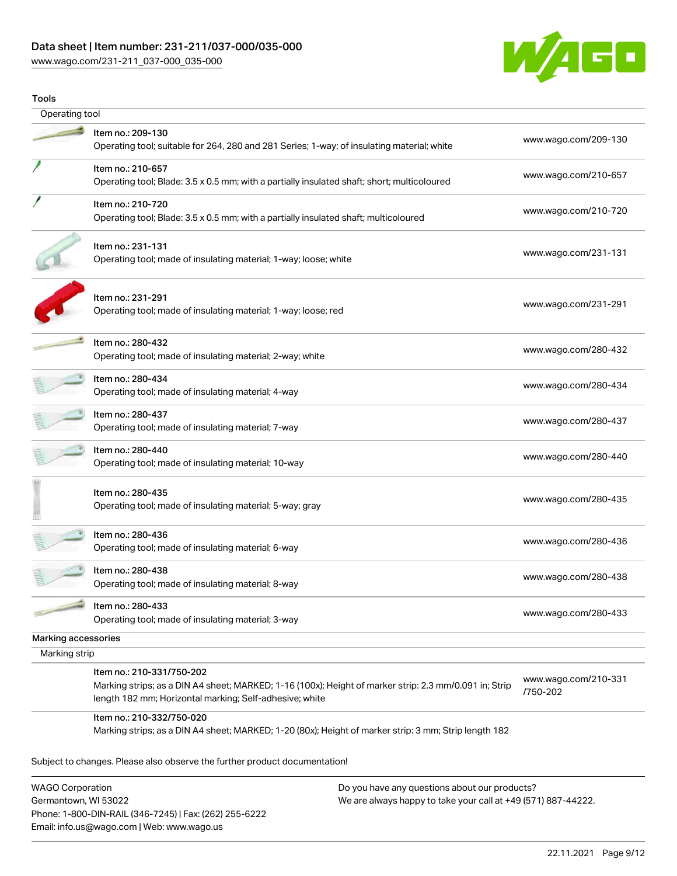## Data sheet | Item number: 231-211/037-000/035-000

[www.wago.com/231-211\\_037-000\\_035-000](http://www.wago.com/231-211_037-000_035-000)



| Tools               |                                                                                                                                                                                                |                                  |
|---------------------|------------------------------------------------------------------------------------------------------------------------------------------------------------------------------------------------|----------------------------------|
| Operating tool      |                                                                                                                                                                                                |                                  |
|                     | Item no.: 209-130<br>Operating tool; suitable for 264, 280 and 281 Series; 1-way; of insulating material; white                                                                                | www.wago.com/209-130             |
|                     | Item no.: 210-657<br>Operating tool; Blade: 3.5 x 0.5 mm; with a partially insulated shaft; short; multicoloured                                                                               | www.wago.com/210-657             |
|                     | Item no.: 210-720<br>Operating tool; Blade: 3.5 x 0.5 mm; with a partially insulated shaft; multicoloured                                                                                      | www.wago.com/210-720             |
|                     | Item no.: 231-131<br>Operating tool; made of insulating material; 1-way; loose; white                                                                                                          | www.wago.com/231-131             |
|                     | Item no.: 231-291<br>Operating tool; made of insulating material; 1-way; loose; red                                                                                                            | www.wago.com/231-291             |
|                     | Item no.: 280-432<br>Operating tool; made of insulating material; 2-way; white                                                                                                                 | www.wago.com/280-432             |
|                     | Item no.: 280-434<br>Operating tool; made of insulating material; 4-way                                                                                                                        | www.wago.com/280-434             |
|                     | Item no.: 280-437<br>Operating tool; made of insulating material; 7-way                                                                                                                        | www.wago.com/280-437             |
|                     | Item no.: 280-440<br>Operating tool; made of insulating material; 10-way                                                                                                                       | www.wago.com/280-440             |
|                     | Item no.: 280-435<br>Operating tool; made of insulating material; 5-way; gray                                                                                                                  | www.wago.com/280-435             |
|                     | Item no.: 280-436<br>Operating tool; made of insulating material; 6-way                                                                                                                        | www.wago.com/280-436             |
|                     | Item no.: 280-438<br>Operating tool; made of insulating material; 8-way                                                                                                                        | www.wago.com/280-438             |
|                     | Item no.: 280-433<br>Operating tool; made of insulating material; 3-way                                                                                                                        | www.wago.com/280-433             |
| Marking accessories |                                                                                                                                                                                                |                                  |
| Marking strip       |                                                                                                                                                                                                |                                  |
|                     | Item no.: 210-331/750-202<br>Marking strips; as a DIN A4 sheet; MARKED; 1-16 (100x); Height of marker strip: 2.3 mm/0.091 in; Strip<br>length 182 mm; Horizontal marking; Self-adhesive; white | www.wago.com/210-331<br>/750-202 |
|                     | Item no.: 210-332/750-020<br>Marking strips; as a DIN A4 sheet; MARKED; 1-20 (80x); Height of marker strip: 3 mm; Strip length 182                                                             |                                  |

WAGO Corporation Germantown, WI 53022 Phone: 1-800-DIN-RAIL (346-7245) | Fax: (262) 255-6222 Email: info.us@wago.com | Web: www.wago.us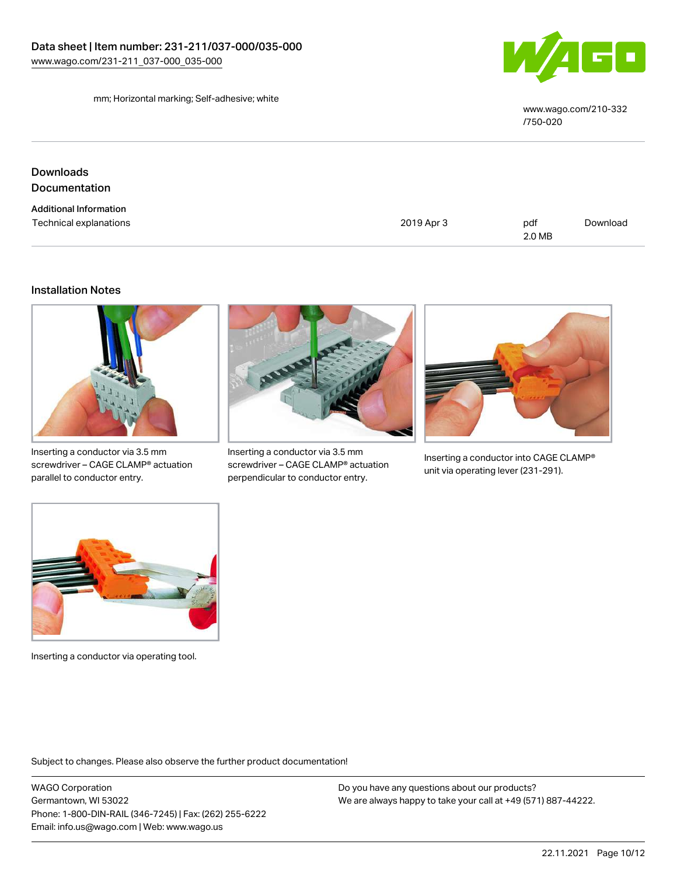

mm; Horizontal marking; Self-adhesive; white

[www.wago.com/210-332](http://www.wago.com/210-332/750-020) [/750-020](http://www.wago.com/210-332/750-020)

| Downloads                     |            |               |          |
|-------------------------------|------------|---------------|----------|
| Documentation                 |            |               |          |
| <b>Additional Information</b> |            |               |          |
| Technical explanations        | 2019 Apr 3 | pdf<br>2.0 MB | Download |

#### Installation Notes



Inserting a conductor via 3.5 mm screwdriver – CAGE CLAMP® actuation parallel to conductor entry.



Inserting a conductor via 3.5 mm screwdriver – CAGE CLAMP® actuation perpendicular to conductor entry.



Inserting a conductor into CAGE CLAMP® unit via operating lever (231-291).



Inserting a conductor via operating tool.

Subject to changes. Please also observe the further product documentation!

WAGO Corporation Germantown, WI 53022 Phone: 1-800-DIN-RAIL (346-7245) | Fax: (262) 255-6222 Email: info.us@wago.com | Web: www.wago.us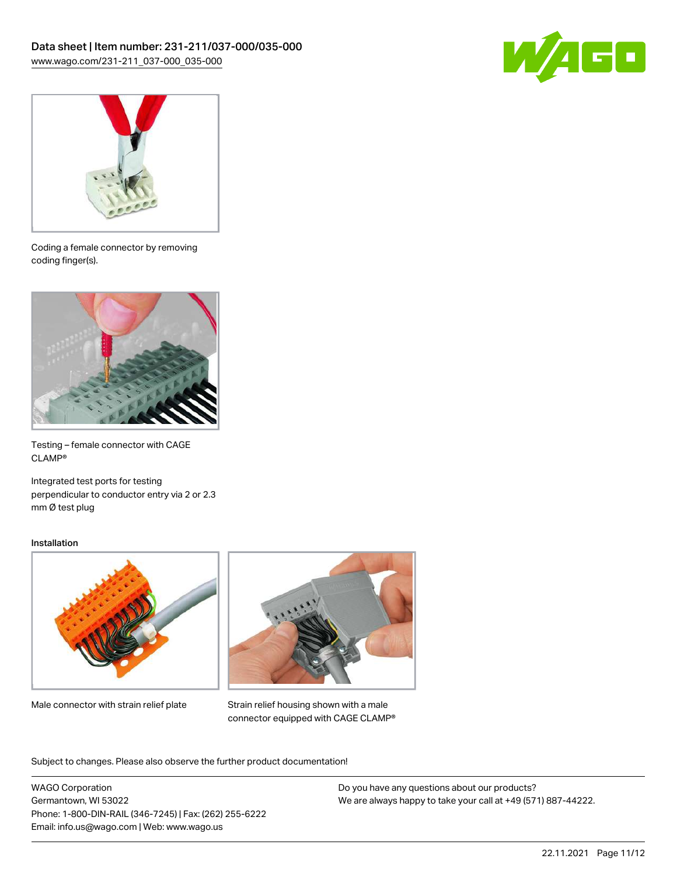



Coding a female connector by removing coding finger(s).



Testing – female connector with CAGE CLAMP®

Integrated test ports for testing perpendicular to conductor entry via 2 or 2.3 mm Ø test plug

#### Installation



Male connector with strain relief plate



Strain relief housing shown with a male connector equipped with CAGE CLAMP®

Subject to changes. Please also observe the further product documentation!

WAGO Corporation Germantown, WI 53022 Phone: 1-800-DIN-RAIL (346-7245) | Fax: (262) 255-6222 Email: info.us@wago.com | Web: www.wago.us